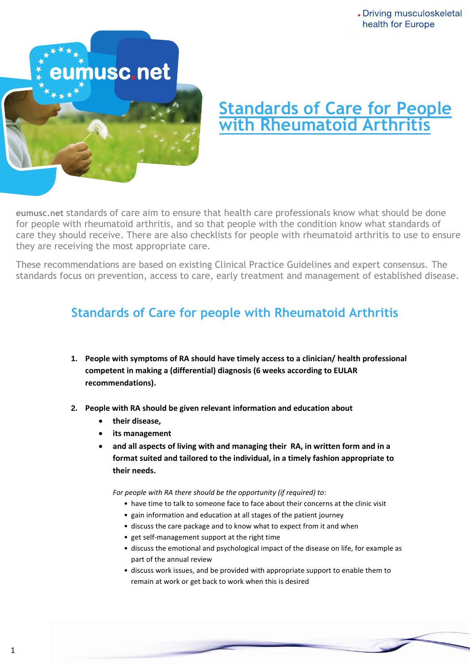

# **Standards of Care for People with Rheumatoid Arthritis**

Dramaardo or care ami for people with rheumatoid arthritis, and so that people with the condition know what standards of **eumusc.net** standards of care aim to ensure that health care professionals know what should be done care they should receive. There are also checklists for people with rheumatoid arthritis to use to ensure they are receiving the most appropriate care.

These recommendations are based on existing Clinical Practice Guidelines and expert consensus. The standards focus on prevention, access to care, early treatment and management of established disease.

## **Standards of Care for people with Rheumatoid Arthritis**

- **1. People with symptoms of RA should have timely access to a clinician/ health professional competent in making a (differential) diagnosis (6 weeks according to EULAR recommendations).**
- **2. People with RA should be given relevant information and education about** 
	- **their disease,**
	- **its management**
	- **and all aspects of living with and managing their RA, in written form and in a format suited and tailored to the individual, in a timely fashion appropriate to their needs.**

*For people with RA there should be the opportunity (if required) to*:

- have time to talk to someone face to face about their concerns at the clinic visit
- gain information and education at all stages of the patient journey
- discuss the care package and to know what to expect from it and when
- get self-management support at the right time
- discuss the emotional and psychological impact of the disease on life, for example as part of the annual review
- discuss work issues, and be provided with appropriate support to enable them to remain at work or get back to work when this is desired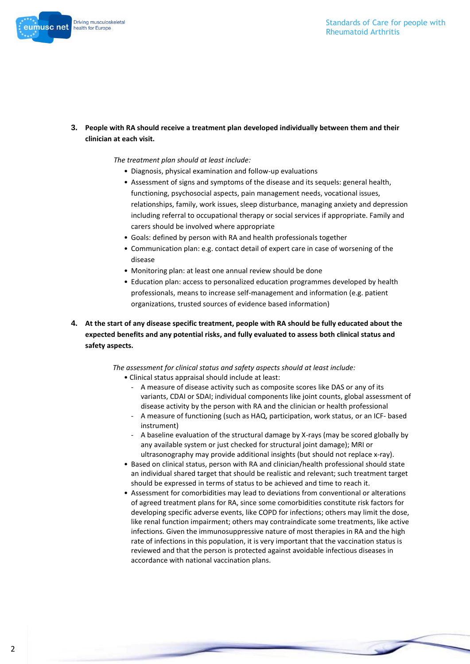#### Standards of Care for people with Rheumatoid Arthritis



**3. People with RA should receive a treatment plan developed individually between them and their clinician at each visit.**

*The treatment plan should at least include:*

- Diagnosis, physical examination and follow-up evaluations
- Assessment of signs and symptoms of the disease and its sequels: general health, functioning, psychosocial aspects, pain management needs, vocational issues, relationships, family, work issues, sleep disturbance, managing anxiety and depression including referral to occupational therapy or social services if appropriate. Family and carers should be involved where appropriate
- Goals: defined by person with RA and health professionals together
- Communication plan: e.g. contact detail of expert care in case of worsening of the disease
- Monitoring plan: at least one annual review should be done
- Education plan: access to personalized education programmes developed by health professionals, means to increase self-management and information (e.g. patient organizations, trusted sources of evidence based information)
- **4. At the start of any disease specific treatment, people with RA should be fully educated about the expected benefits and any potential risks, and fully evaluated to assess both clinical status and safety aspects.**

*The assessment for clinical status and safety aspects should at least include:*

- Clinical status appraisal should include at least:
	- A measure of disease activity such as composite scores like DAS or any of its variants, CDAI or SDAI; individual components like joint counts, global assessment of disease activity by the person with RA and the clinician or health professional
	- A measure of functioning (such as HAQ, participation, work status, or an ICF- based instrument)
	- A baseline evaluation of the structural damage by X-rays (may be scored globally by any available system or just checked for structural joint damage); MRI or ultrasonography may provide additional insights (but should not replace x-ray).
- Based on clinical status, person with RA and clinician/health professional should state an individual shared target that should be realistic and relevant; such treatment target should be expressed in terms of status to be achieved and time to reach it.
- Assessment for comorbidities may lead to deviations from conventional or alterations of agreed treatment plans for RA, since some comorbidities constitute risk factors for developing specific adverse events, like COPD for infections; others may limit the dose, like renal function impairment; others may contraindicate some treatments, like active infections. Given the immunosuppressive nature of most therapies in RA and the high rate of infections in this population, it is very important that the vaccination status is reviewed and that the person is protected against avoidable infectious diseases in accordance with national vaccination plans.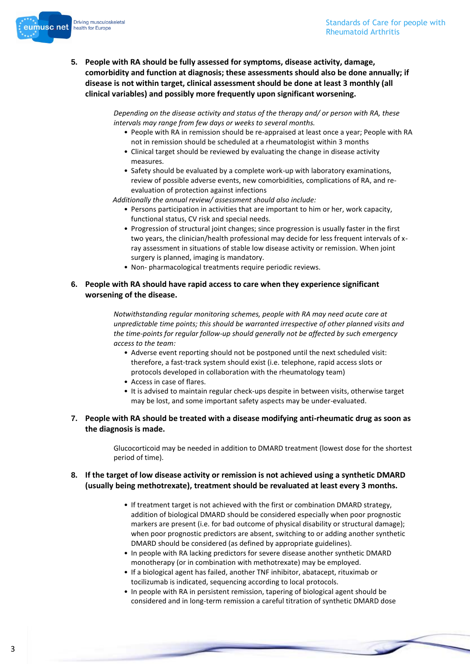

**5. People with RA should be fully assessed for symptoms, disease activity, damage, comorbidity and function at diagnosis; these assessments should also be done annually; if disease is not within target, clinical assessment should be done at least 3 monthly (all clinical variables) and possibly more frequently upon significant worsening.**

> *Depending on the disease activity and status of the therapy and/ or person with RA, these intervals may range from few days or weeks to several months.*

- People with RA in remission should be re-appraised at least once a year; People with RA not in remission should be scheduled at a rheumatologist within 3 months
- Clinical target should be reviewed by evaluating the change in disease activity measures.
- Safety should be evaluated by a complete work-up with laboratory examinations, review of possible adverse events, new comorbidities, complications of RA, and reevaluation of protection against infections

*Additionally the annual review/ assessment should also include:*

- Persons participation in activities that are important to him or her, work capacity, functional status, CV risk and special needs.
- Progression of structural joint changes; since progression is usually faster in the first two years, the clinician/health professional may decide for less frequent intervals of xray assessment in situations of stable low disease activity or remission. When joint surgery is planned, imaging is mandatory.
- Non- pharmacological treatments require periodic reviews.

#### **6. People with RA should have rapid access to care when they experience significant worsening of the disease.**

*Notwithstanding regular monitoring schemes, people with RA may need acute care at unpredictable time points; this should be warranted irrespective of other planned visits and the time-points for regular follow-up should generally not be affected by such emergency access to the team:*

- Adverse event reporting should not be postponed until the next scheduled visit: therefore, a fast-track system should exist (i.e. telephone, rapid access slots or protocols developed in collaboration with the rheumatology team)
- Access in case of flares.
- It is advised to maintain regular check-ups despite in between visits, otherwise target may be lost, and some important safety aspects may be under-evaluated.
- **7. People with RA should be treated with a disease modifying anti-rheumatic drug as soon as the diagnosis is made.**

Glucocorticoid may be needed in addition to DMARD treatment (lowest dose for the shortest period of time).

#### **8. If the target of low disease activity or remission is not achieved using a synthetic DMARD (usually being methotrexate), treatment should be revaluated at least every 3 months.**

- If treatment target is not achieved with the first or combination DMARD strategy, addition of biological DMARD should be considered especially when poor prognostic markers are present (i.e. for bad outcome of physical disability or structural damage); when poor prognostic predictors are absent, switching to or adding another synthetic DMARD should be considered (as defined by appropriate guidelines).
- In people with RA lacking predictors for severe disease another synthetic DMARD monotherapy (or in combination with methotrexate) may be employed.
- If a biological agent has failed, another TNF inhibitor, abatacept, rituximab or tocilizumab is indicated, sequencing according to local protocols.
- In people with RA in persistent remission, tapering of biological agent should be considered and in long-term remission a careful titration of synthetic DMARD dose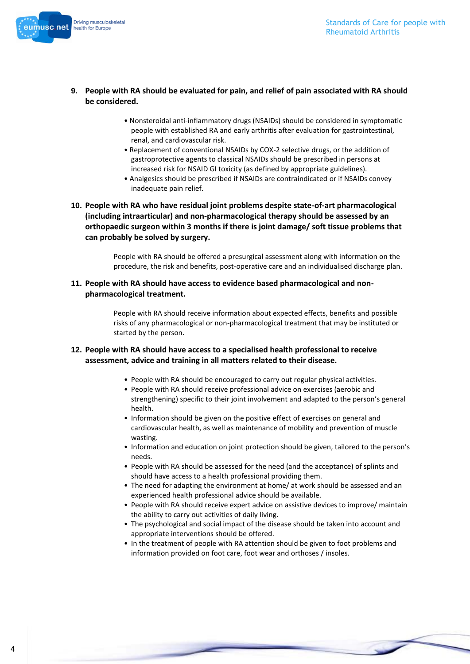

- **9. People with RA should be evaluated for pain, and relief of pain associated with RA should be considered.**
	- Nonsteroidal anti-inflammatory drugs (NSAIDs) should be considered in symptomatic people with established RA and early arthritis after evaluation for gastrointestinal, renal, and cardiovascular risk.
	- Replacement of conventional NSAIDs by COX-2 selective drugs, or the addition of gastroprotective agents to classical NSAIDs should be prescribed in persons at increased risk for NSAID GI toxicity (as defined by appropriate guidelines).
	- Analgesics should be prescribed if NSAIDs are contraindicated or if NSAIDs convey inadequate pain relief.
- **10. People with RA who have residual joint problems despite state-of-art pharmacological (including intraarticular) and non-pharmacological therapy should be assessed by an orthopaedic surgeon within 3 months if there is joint damage/ soft tissue problems that can probably be solved by surgery.**

People with RA should be offered a presurgical assessment along with information on the procedure, the risk and benefits, post-operative care and an individualised discharge plan.

**11. People with RA should have access to evidence based pharmacological and nonpharmacological treatment.**

> People with RA should receive information about expected effects, benefits and possible risks of any pharmacological or non-pharmacological treatment that may be instituted or started by the person.

#### **12. People with RA should have access to a specialised health professional to receive assessment, advice and training in all matters related to their disease.**

- People with RA should be encouraged to carry out regular physical activities.
- People with RA should receive professional advice on exercises (aerobic and strengthening) specific to their joint involvement and adapted to the person's general health.
- Information should be given on the positive effect of exercises on general and cardiovascular health, as well as maintenance of mobility and prevention of muscle wasting.
- Information and education on joint protection should be given, tailored to the person's needs.
- People with RA should be assessed for the need (and the acceptance) of splints and should have access to a health professional providing them.
- The need for adapting the environment at home/ at work should be assessed and an experienced health professional advice should be available.
- People with RA should receive expert advice on assistive devices to improve/ maintain the ability to carry out activities of daily living.
- The psychological and social impact of the disease should be taken into account and appropriate interventions should be offered.
- In the treatment of people with RA attention should be given to foot problems and information provided on foot care, foot wear and orthoses / insoles.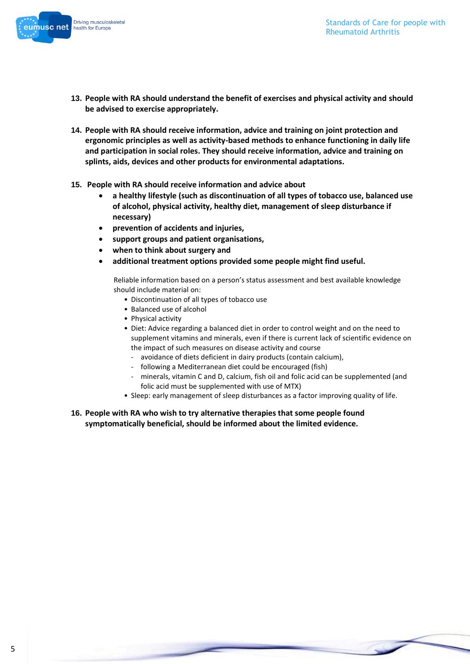

- **13. People with RA should understand the benefit of exercises and physical activity and should be advised to exercise appropriately.**
- **14. People with RA should receive information, advice and training on joint protection and ergonomic principles as well as activity-based methods to enhance functioning in daily life and participation in social roles. They should receive information, advice and training on splints, aids, devices and other products for environmental adaptations.**
- **15. People with RA should receive information and advice about** 
	- **a healthy lifestyle (such as discontinuation of all types of tobacco use, balanced use of alcohol, physical activity, healthy diet, management of sleep disturbance if necessary)**
	- **prevention of accidents and injuries,**
	- **support groups and patient organisations,**
	- **when to think about surgery and**
	- **additional treatment options provided some people might find useful.**

Reliable information based on a person's status assessment and best available knowledge should include material on:

- Discontinuation of all types of tobacco use
- Balanced use of alcohol
- Physical activity
- Diet: Advice regarding a balanced diet in order to control weight and on the need to supplement vitamins and minerals, even if there is current lack of scientific evidence on the impact of such measures on disease activity and course
	- avoidance of diets deficient in dairy products (contain calcium),
	- following a Mediterranean diet could be encouraged (fish)
	- minerals, vitamin C and D, calcium, fish oil and folic acid can be supplemented (and folic acid must be supplemented with use of MTX)
- Sleep: early management of sleep disturbances as a factor improving quality of life.
- **16. People with RA who wish to try alternative therapies that some people found symptomatically beneficial, should be informed about the limited evidence.**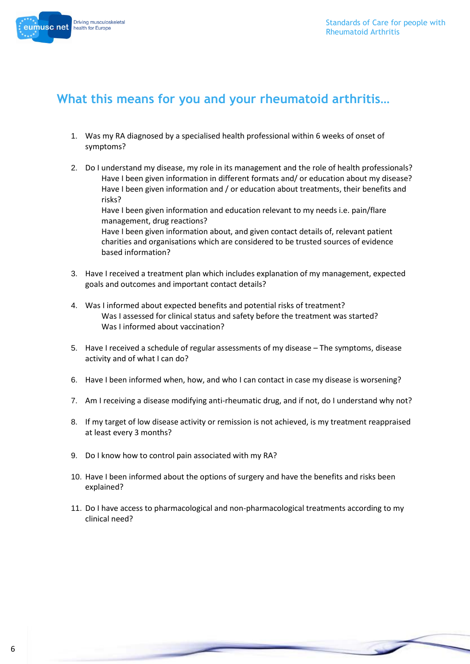

### **What this means for you and your rheumatoid arthritis…**

- 1. Was my RA diagnosed by a specialised health professional within 6 weeks of onset of symptoms?
- 2. Do I understand my disease, my role in its management and the role of health professionals? Have I been given information in different formats and/ or education about my disease? Have I been given information and / or education about treatments, their benefits and risks? Have I been given information and education relevant to my needs i.e. pain/flare

management, drug reactions? Have I been given information about, and given contact details of, relevant patient charities and organisations which are considered to be trusted sources of evidence based information?

- 3. Have I received a treatment plan which includes explanation of my management, expected goals and outcomes and important contact details?
- 4. Was I informed about expected benefits and potential risks of treatment? Was I assessed for clinical status and safety before the treatment was started? Was I informed about vaccination?
- 5. Have I received a schedule of regular assessments of my disease The symptoms, disease activity and of what I can do?
- 6. Have I been informed when, how, and who I can contact in case my disease is worsening?
- 7. Am I receiving a disease modifying anti-rheumatic drug, and if not, do I understand why not?
- 8. If my target of low disease activity or remission is not achieved, is my treatment reappraised at least every 3 months?
- 9. Do I know how to control pain associated with my RA?
- 10. Have I been informed about the options of surgery and have the benefits and risks been explained?
- 11. Do I have access to pharmacological and non-pharmacological treatments according to my clinical need?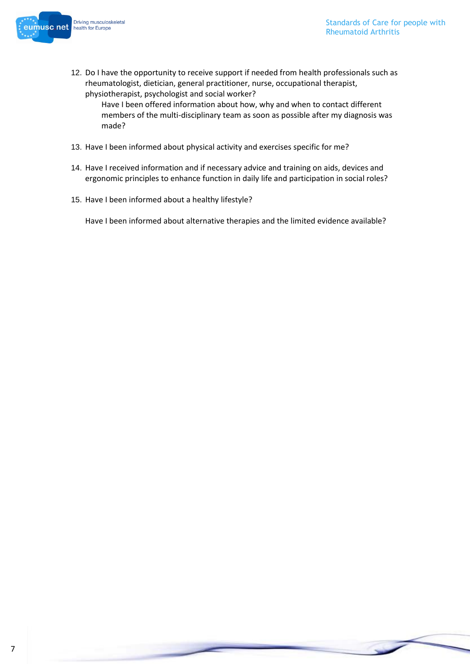



12. Do I have the opportunity to receive support if needed from health professionals such as rheumatologist, dietician, general practitioner, nurse, occupational therapist, physiotherapist, psychologist and social worker?

Have I been offered information about how, why and when to contact different members of the multi-disciplinary team as soon as possible after my diagnosis was made?

- 13. Have I been informed about physical activity and exercises specific for me?
- 14. Have I received information and if necessary advice and training on aids, devices and ergonomic principles to enhance function in daily life and participation in social roles?
- 15. Have I been informed about a healthy lifestyle?

Have I been informed about alternative therapies and the limited evidence available?